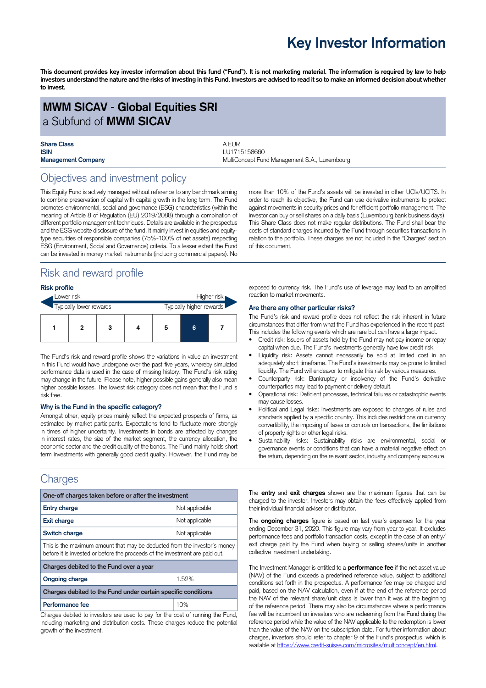# **Key Investor Information**

This document provides key investor information about this fund ("Fund"). It is not marketing material. The information is required by law to help investors understand the nature and the risks of investing in this Fund. Investors are advised to read it so to make an informed decision about whether **to invest.**

# **MWM SICAV - Global Equities SRI** a Subfund of **MWM SICAV**

| <b>Share Class</b>        | AFUR                                          |
|---------------------------|-----------------------------------------------|
| <b>ISIN</b>               | LU1715158660                                  |
| <b>Management Company</b> | MultiConcept Fund Management S.A., Luxembourg |

# Objectives and investment policy

This Equity Fund is actively managed without reference to any benchmark aiming to combine preservation of capital with capital growth in the long term. The Fund promotes environmental, social and governance (ESG) characteristics (within the meaning of Article 8 of Regulation (EU) 2019/2088) through a combination of different portfolio management techniques. Details are available in the prospectus and the ESG website disclosure of the fund. It mainly invest in equities and equitytype securities of responsible companies (75%-100% of net assets) respecting ESG (Environment, Social and Governance) criteria. To a lesser extent the Fund can be invested in money market instruments (including commercial papers). No

# Risk and reward profile

#### **Risk profile**

| Lower risk              |   |   |  | Higher risk              |   |  |
|-------------------------|---|---|--|--------------------------|---|--|
| Typically lower rewards |   |   |  | Typically higher rewards |   |  |
|                         | 2 | з |  | 5                        | 6 |  |

The Fund's risk and reward profile shows the variations in value an investment in this Fund would have undergone over the past five years, whereby simulated performance data is used in the case of missing history. The Fund's risk rating may change in the future. Please note, higher possible gains generally also mean higher possible losses. The lowest risk category does not mean that the Fund is risk free.

#### **Why is the Fund in the specific category?**

Amongst other, equity prices mainly reflect the expected prospects of firms, as estimated by market participants. Expectations tend to fluctuate more strongly in times of higher uncertainty. Investments in bonds are affected by changes in interest rates, the size of the market segment, the currency allocation, the economic sector and the credit quality of the bonds. The Fund mainly holds short term investments with generally good credit quality. However, the Fund may be

# **Charges**

| One-off charges taken before or after the investment                                                                                                      |                |  |  |  |
|-----------------------------------------------------------------------------------------------------------------------------------------------------------|----------------|--|--|--|
| <b>Entry charge</b>                                                                                                                                       | Not applicable |  |  |  |
| <b>Exit charge</b>                                                                                                                                        | Not applicable |  |  |  |
| Switch charge<br>Not applicable                                                                                                                           |                |  |  |  |
| This is the maximum amount that may be deducted from the investor's money<br>before it is invested or before the proceeds of the investment are paid out. |                |  |  |  |
| Charges debited to the Fund over a year                                                                                                                   |                |  |  |  |
| <b>Ongoing charge</b>                                                                                                                                     | 1.52%          |  |  |  |
| Charges debited to the Fund under certain specific conditions                                                                                             |                |  |  |  |
| Performance fee                                                                                                                                           | 10%            |  |  |  |
| Charges debited to investors are used to pay for the cost of running the Fund,                                                                            |                |  |  |  |

including marketing and distribution costs. These charges reduce the potential growth of the investment.

more than 10% of the Fund's assets will be invested in other UCIs/UCITS. In order to reach its objective, the Fund can use derivative instruments to protect against movements in security prices and for efficient portfolio management. The investor can buy or sell shares on a daily basis (Luxembourg bank business days). This Share Class does not make regular distributions. The Fund shall bear the costs of standard charges incurred by the Fund through securities transactions in relation to the portfolio. These charges are not included in the "Charges" section of this document.

exposed to currency risk. The Fund's use of leverage may lead to an amplified reaction to market movements.

#### **Are there any other particular risks?**

The Fund's risk and reward profile does not reflect the risk inherent in future circumstances that differ from what the Fund has experienced in the recent past. This includes the following events which are rare but can have a large impact.

- Credit risk: Issuers of assets held by the Fund may not pay income or repay capital when due. The Fund's investments generally have low credit risk.
- Liquidity risk: Assets cannot necessarily be sold at limited cost in an adequately short timeframe. The Fund's investments may be prone to limited liquidity. The Fund will endeavor to mitigate this risk by various measures.
- Counterparty risk: Bankruptcy or insolvency of the Fund's derivative counterparties may lead to payment or delivery default.
- Operational risk: Deficient processes, technical failures or catastrophic events may cause losses.
- Political and Legal risks: Investments are exposed to changes of rules and standards applied by a specific country. This includes restrictions on currency convertibility, the imposing of taxes or controls on transactions, the limitations of property rights or other legal risks.
- Sustainability risks: Sustainability risks are environmental, social or governance events or conditions that can have a material negative effect on the return, depending on the relevant sector, industry and company exposure.

The **entry** and **exit charges** shown are the maximum figures that can be charged to the investor. Investors may obtain the fees effectively applied from their individual financial adviser or distributor.

The **ongoing charges** figure is based on last year's expenses for the year ending December 31, 2020. This figure may vary from year to year. It excludes performance fees and portfolio transaction costs, except in the case of an entry/ exit charge paid by the Fund when buying or selling shares/units in another collective investment undertaking.

The Investment Manager is entitled to a **performance fee** if the net asset value (NAV) of the Fund exceeds a predefined reference value, subject to additional conditions set forth in the prospectus. A performance fee may be charged and paid, based on the NAV calculation, even if at the end of the reference period the NAV of the relevant share/unit class is lower than it was at the beginning of the reference period. There may also be circumstances where a performance fee will be incumbent on investors who are redeeming from the Fund during the reference period while the value of the NAV applicable to the redemption is lower than the value of the NAV on the subscription date. For further information about charges, investors should refer to chapter 9 of the Fund's prospectus, which is available at [https://www.credit-suisse.com/microsites/multiconcept/en.html.](https://www.credit-suisse.com/microsites/multiconcept/en.html)